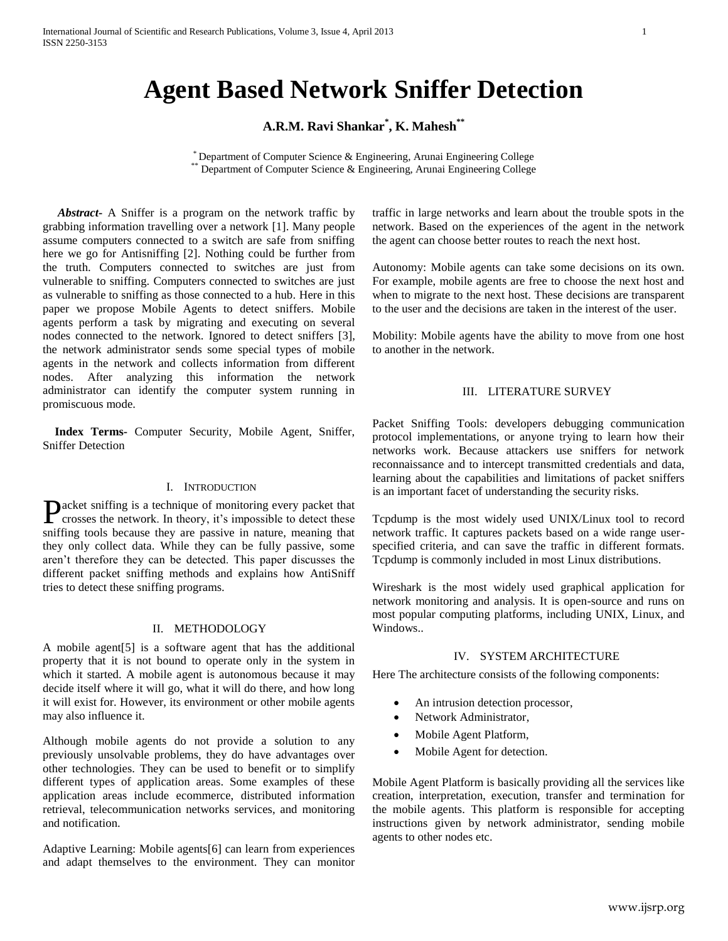# **Agent Based Network Sniffer Detection**

**A.R.M. Ravi Shankar\* , K. Mahesh\*\***

\* Department of Computer Science & Engineering, Arunai Engineering College \*\* Department of Computer Science & Engineering, Arunai Engineering College

 *Abstract***-** A Sniffer is a program on the network traffic by grabbing information travelling over a network [1]. Many people assume computers connected to a switch are safe from sniffing here we go for Antisniffing [2]. Nothing could be further from the truth. Computers connected to switches are just from vulnerable to sniffing. Computers connected to switches are just as vulnerable to sniffing as those connected to a hub. Here in this paper we propose Mobile Agents to detect sniffers. Mobile agents perform a task by migrating and executing on several nodes connected to the network. Ignored to detect sniffers [3], the network administrator sends some special types of mobile agents in the network and collects information from different nodes. After analyzing this information the network administrator can identify the computer system running in promiscuous mode.

 **Index Terms-** Computer Security, Mobile Agent, Sniffer, Sniffer Detection

## I. INTRODUCTION

acket sniffing is a technique of monitoring every packet that **P**acket sniffing is a technique of monitoring every packet that<br>rosses the network. In theory, it's impossible to detect these sniffing tools because they are passive in nature, meaning that they only collect data. While they can be fully passive, some aren't therefore they can be detected. This paper discusses the different packet sniffing methods and explains how AntiSniff tries to detect these sniffing programs.

# II. METHODOLOGY

A mobile agent[5] is a software agent that has the additional property that it is not bound to operate only in the system in which it started. A mobile agent is autonomous because it may decide itself where it will go, what it will do there, and how long it will exist for. However, its environment or other mobile agents may also influence it.

Although mobile agents do not provide a solution to any previously unsolvable problems, they do have advantages over other technologies. They can be used to benefit or to simplify different types of application areas. Some examples of these application areas include ecommerce, distributed information retrieval, telecommunication networks services, and monitoring and notification.

Adaptive Learning: Mobile agents[6] can learn from experiences and adapt themselves to the environment. They can monitor traffic in large networks and learn about the trouble spots in the network. Based on the experiences of the agent in the network the agent can choose better routes to reach the next host.

Autonomy: Mobile agents can take some decisions on its own. For example, mobile agents are free to choose the next host and when to migrate to the next host. These decisions are transparent to the user and the decisions are taken in the interest of the user.

Mobility: Mobile agents have the ability to move from one host to another in the network.

## III. LITERATURE SURVEY

Packet Sniffing Tools: developers debugging communication protocol implementations, or anyone trying to learn how their networks work. Because attackers use sniffers for network reconnaissance and to intercept transmitted credentials and data, learning about the capabilities and limitations of packet sniffers is an important facet of understanding the security risks.

Tcpdump is the most widely used UNIX/Linux tool to record network traffic. It captures packets based on a wide range userspecified criteria, and can save the traffic in different formats. Tcpdump is commonly included in most Linux distributions.

Wireshark is the most widely used graphical application for network monitoring and analysis. It is open-source and runs on most popular computing platforms, including UNIX, Linux, and Windows...

## IV. SYSTEM ARCHITECTURE

Here The architecture consists of the following components:

- An intrusion detection processor,
- Network Administrator,
- Mobile Agent Platform,
- Mobile Agent for detection.

Mobile Agent Platform is basically providing all the services like creation, interpretation, execution, transfer and termination for the mobile agents. This platform is responsible for accepting instructions given by network administrator, sending mobile agents to other nodes etc.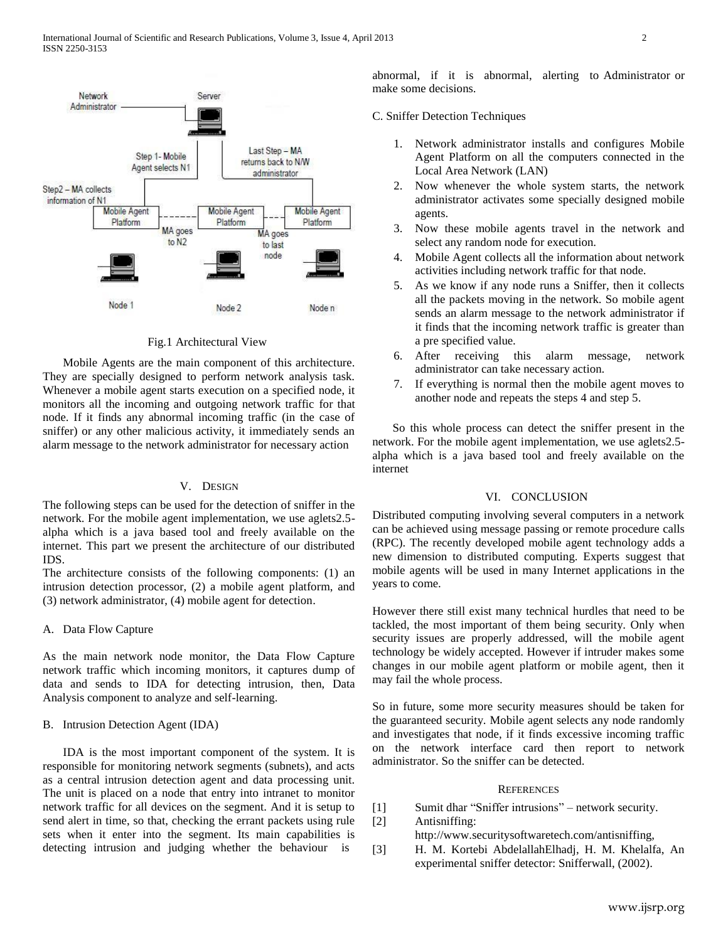

Fig.1 Architectural View

Mobile Agents are the main component of this architecture. They are specially designed to perform network analysis task. Whenever a mobile agent starts execution on a specified node, it monitors all the incoming and outgoing network traffic for that node. If it finds any abnormal incoming traffic (in the case of sniffer) or any other malicious activity, it immediately sends an alarm message to the network administrator for necessary action

## V. DESIGN

The following steps can be used for the detection of sniffer in the network. For the mobile agent implementation, we use aglets2.5 alpha which is a java based tool and freely available on the internet. This part we present the architecture of our distributed IDS.

The architecture consists of the following components: (1) an intrusion detection processor, (2) a mobile agent platform, and (3) network administrator, (4) mobile agent for detection.

#### A. Data Flow Capture

As the main network node monitor, the Data Flow Capture network traffic which incoming monitors, it captures dump of data and sends to IDA for detecting intrusion, then, Data Analysis component to analyze and self-learning.

## B. Intrusion Detection Agent (IDA)

IDA is the most important component of the system. It is responsible for monitoring network segments (subnets), and acts as a central intrusion detection agent and data processing unit. The unit is placed on a node that entry into intranet to monitor network traffic for all devices on the segment. And it is setup to send alert in time, so that, checking the errant packets using rule sets when it enter into the segment. Its main capabilities is detecting intrusion and judging whether the behaviour is

abnormal, if it is abnormal, alerting to Administrator or make some decisions.

C. Sniffer Detection Techniques

- 1. Network administrator installs and configures Mobile Agent Platform on all the computers connected in the Local Area Network (LAN)
- 2. Now whenever the whole system starts, the network administrator activates some specially designed mobile agents.
- 3. Now these mobile agents travel in the network and select any random node for execution.
- 4. Mobile Agent collects all the information about network activities including network traffic for that node.
- 5. As we know if any node runs a Sniffer, then it collects all the packets moving in the network. So mobile agent sends an alarm message to the network administrator if it finds that the incoming network traffic is greater than a pre specified value.
- 6. After receiving this alarm message, network administrator can take necessary action.
- 7. If everything is normal then the mobile agent moves to another node and repeats the steps 4 and step 5.

So this whole process can detect the sniffer present in the network. For the mobile agent implementation, we use aglets2.5 alpha which is a java based tool and freely available on the internet

## VI. CONCLUSION

Distributed computing involving several computers in a network can be achieved using message passing or remote procedure calls (RPC). The recently developed mobile agent technology adds a new dimension to distributed computing. Experts suggest that mobile agents will be used in many Internet applications in the years to come.

However there still exist many technical hurdles that need to be tackled, the most important of them being security. Only when security issues are properly addressed, will the mobile agent technology be widely accepted. However if intruder makes some changes in our mobile agent platform or mobile agent, then it may fail the whole process.

So in future, some more security measures should be taken for the guaranteed security. Mobile agent selects any node randomly and investigates that node, if it finds excessive incoming traffic on the network interface card then report to network administrator. So the sniffer can be detected.

#### **REFERENCES**

- [1] Sumit dhar "Sniffer intrusions" network security.
- [2] Antisniffing:
	- http://www.securitysoftwaretech.com/antisniffing,
- [3] H. M. Kortebi AbdelallahElhadj, H. M. Khelalfa, An experimental sniffer detector: Snifferwall, (2002).